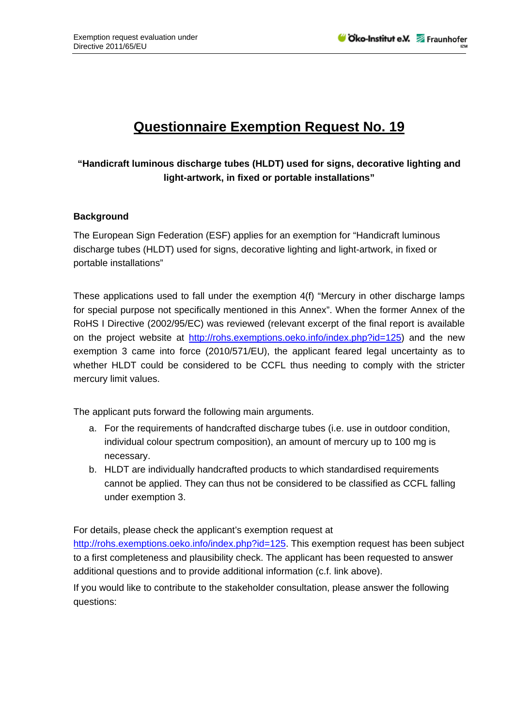## **Questionnaire Exemption Request No. 19**

## **"Handicraft luminous discharge tubes (HLDT) used for signs, decorative lighting and light-artwork, in fixed or portable installations"**

## **Background**

The European Sign Federation (ESF) applies for an exemption for "Handicraft luminous discharge tubes (HLDT) used for signs, decorative lighting and light-artwork, in fixed or portable installations"

These applications used to fall under the exemption 4(f) "Mercury in other discharge lamps for special purpose not specifically mentioned in this Annex". When the former Annex of the RoHS I Directive (2002/95/EC) was reviewed (relevant excerpt of the final report is available on the project website at http://rohs.exemptions.oeko.info/index.php?id=125) and the new exemption 3 came into force (2010/571/EU), the applicant feared legal uncertainty as to whether HLDT could be considered to be CCFL thus needing to comply with the stricter mercury limit values.

The applicant puts forward the following main arguments.

- a. For the requirements of handcrafted discharge tubes (i.e. use in outdoor condition, individual colour spectrum composition), an amount of mercury up to 100 mg is necessary.
- b. HLDT are individually handcrafted products to which standardised requirements cannot be applied. They can thus not be considered to be classified as CCFL falling under exemption 3.

For details, please check the applicant's exemption request at

http://rohs.exemptions.oeko.info/index.php?id=125. This exemption request has been subject to a first completeness and plausibility check. The applicant has been requested to answer additional questions and to provide additional information (c.f. link above).

If you would like to contribute to the stakeholder consultation, please answer the following questions: